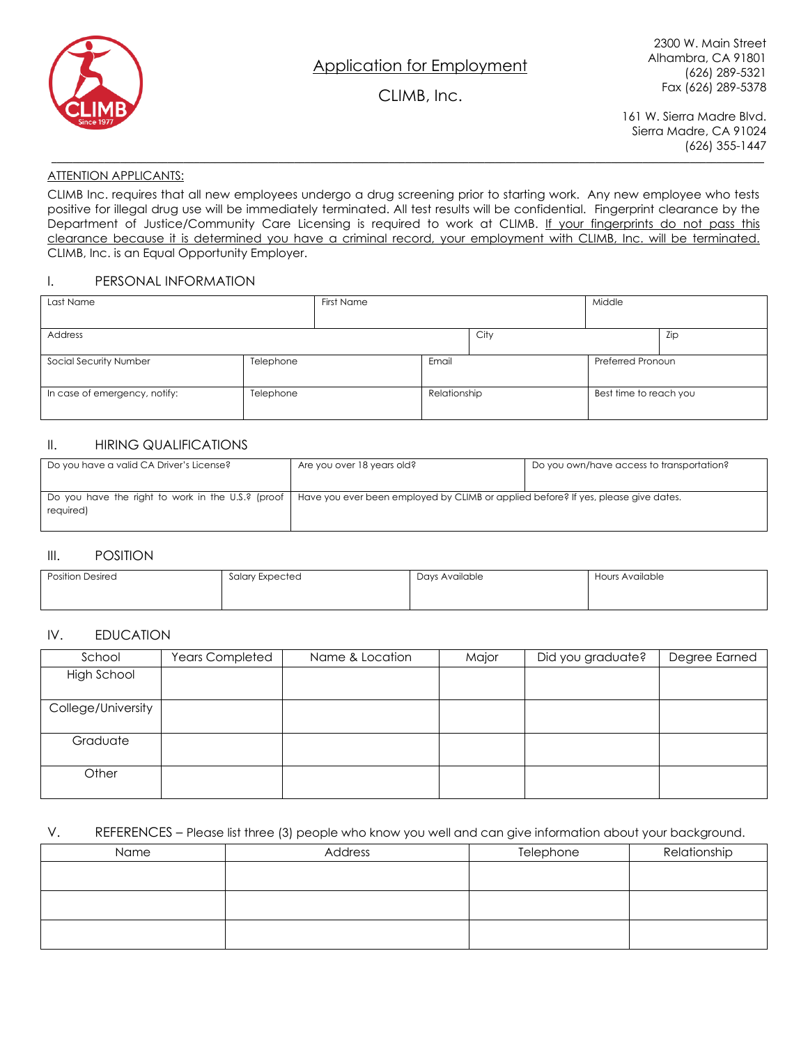

# CLIMB, Inc.

161 W. Sierra Madre Blvd. Sierra Madre, CA 91024 (626) 355-1447

#### ATTENTION APPLICANTS:

CLIMB Inc. requires that all new employees undergo a drug screening prior to starting work. Any new employee who tests positive for illegal drug use will be immediately terminated. All test results will be confidential. Fingerprint clearance by the Department of Justice/Community Care Licensing is required to work at CLIMB. If your fingerprints do not pass this clearance because it is determined you have a criminal record, your employment with CLIMB, Inc. will be terminated. CLIMB, Inc. is an Equal Opportunity Employer.

**\_\_\_\_\_\_\_\_\_\_\_\_\_\_\_\_\_\_\_\_\_\_\_\_\_\_\_\_\_\_\_\_\_\_\_\_\_\_\_\_\_\_\_\_\_\_\_\_\_\_\_\_\_\_\_\_\_\_\_\_\_\_\_\_\_\_\_\_\_\_\_\_\_\_\_\_\_\_\_\_\_\_\_\_\_\_\_\_\_\_\_\_\_\_\_\_\_\_\_\_\_\_\_\_\_\_\_\_\_\_\_\_\_\_\_\_\_\_\_\_\_\_\_\_\_\_\_\_\_\_\_\_\_\_\_**

#### I. PERSONAL INFORMATION

| Last Name                     |           | First Name |              | Middle |                        |     |
|-------------------------------|-----------|------------|--------------|--------|------------------------|-----|
| Address                       |           |            |              | City   |                        | Zip |
| Social Security Number        | Telephone |            | Email        |        | Preferred Pronoun      |     |
| In case of emergency, notify: | Telephone |            | Relationship |        | Best time to reach you |     |

#### II. HIRING QUALIFICATIONS

| Do you have a valid CA Driver's License?          | Are you over 18 years old?                                                         | Do you own/have access to transportation? |  |
|---------------------------------------------------|------------------------------------------------------------------------------------|-------------------------------------------|--|
|                                                   |                                                                                    |                                           |  |
| Do you have the right to work in the U.S.? (proof | Have you ever been employed by CLIMB or applied before? If yes, please give dates. |                                           |  |
| required)                                         |                                                                                    |                                           |  |
|                                                   |                                                                                    |                                           |  |

#### III. POSITION

| Position Desired | Salary Expected |  | Hours Available |  |  |
|------------------|-----------------|--|-----------------|--|--|
|                  |                 |  |                 |  |  |

### IV. EDUCATION

| School             | <b>Years Completed</b> | Name & Location | Major | Did you graduate? | Degree Earned |
|--------------------|------------------------|-----------------|-------|-------------------|---------------|
| <b>High School</b> |                        |                 |       |                   |               |
|                    |                        |                 |       |                   |               |
| College/University |                        |                 |       |                   |               |
|                    |                        |                 |       |                   |               |
| Graduate           |                        |                 |       |                   |               |
|                    |                        |                 |       |                   |               |
| Other              |                        |                 |       |                   |               |
|                    |                        |                 |       |                   |               |

#### V. REFERENCES – Please list three (3) people who know you well and can give information about your background.

| Name | Address | Telephone | Relationship |
|------|---------|-----------|--------------|
|      |         |           |              |
|      |         |           |              |
|      |         |           |              |
|      |         |           |              |
|      |         |           |              |
|      |         |           |              |